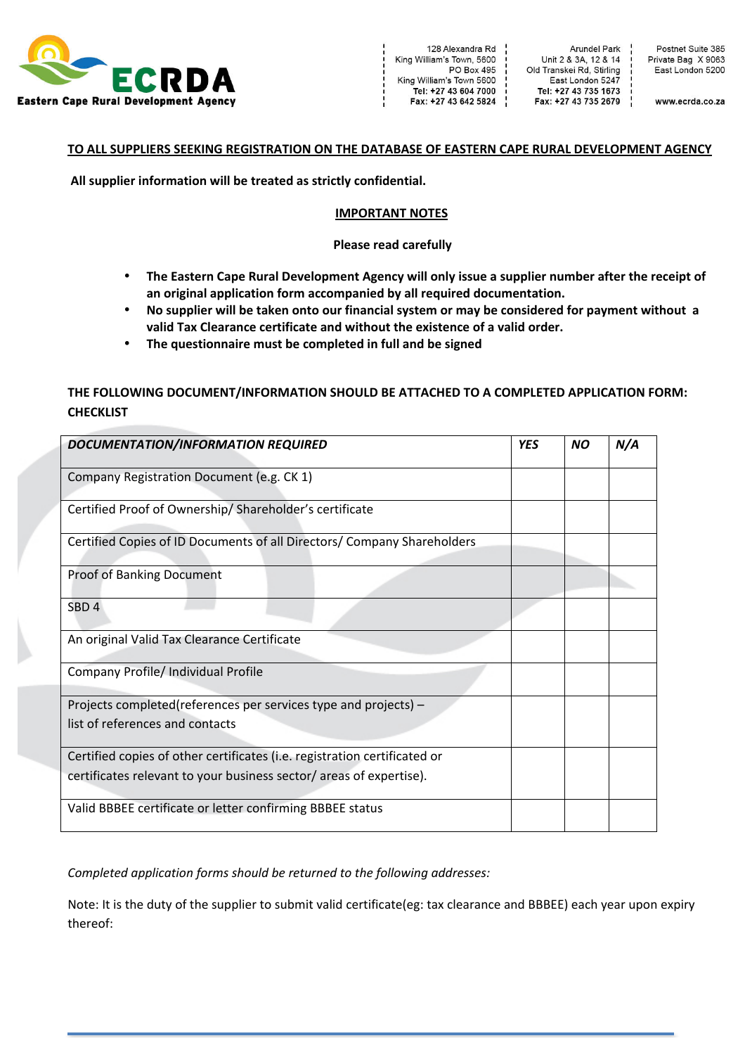

Arundel Park Unit 2 & 3A, 12 & 14 Old Transkei Rd, Stirling East London 5247 Tel: +27 43 735 1673 Fax: +27 43 735 2679

Postnet Suite 385 Private Bag X 9063<br>East London 5200

www.ecrda.co.za

#### TO ALL SUPPLIERS SEEKING REGISTRATION ON THE DATABASE OF EASTERN CAPE RURAL DEVELOPMENT AGENCY

All supplier information will be treated as strictly confidential.

#### **IMPORTANT NOTES**

#### **Please read carefully**

- The Eastern Cape Rural Development Agency will only issue a supplier number after the receipt of an original application form accompanied by all required documentation.
- No supplier will be taken onto our financial system or may be considered for payment without a valid Tax Clearance certificate and without the existence of a valid order.
- The questionnaire must be completed in full and be signed

# THE FOLLOWING DOCUMENT/INFORMATION SHOULD BE ATTACHED TO A COMPLETED APPLICATION FORM: **CHECKLIST**

| <b>DOCUMENTATION/INFORMATION REQUIRED</b>                                 | <b>YES</b> | <b>NO</b> | N/A |
|---------------------------------------------------------------------------|------------|-----------|-----|
| Company Registration Document (e.g. CK 1)                                 |            |           |     |
| Certified Proof of Ownership/Shareholder's certificate                    |            |           |     |
| Certified Copies of ID Documents of all Directors/ Company Shareholders   |            |           |     |
| Proof of Banking Document                                                 |            |           |     |
| SBD <sub>4</sub>                                                          |            |           |     |
| An original Valid Tax Clearance Certificate                               |            |           |     |
| Company Profile/ Individual Profile                                       |            |           |     |
| Projects completed(references per services type and projects) -           |            |           |     |
| list of references and contacts                                           |            |           |     |
| Certified copies of other certificates (i.e. registration certificated or |            |           |     |
| certificates relevant to your business sector/areas of expertise).        |            |           |     |
| Valid BBBEE certificate or letter confirming BBBEE status                 |            |           |     |

Completed application forms should be returned to the following addresses:

Note: It is the duty of the supplier to submit valid certificate(eg: tax clearance and BBBEE) each year upon expiry thereof: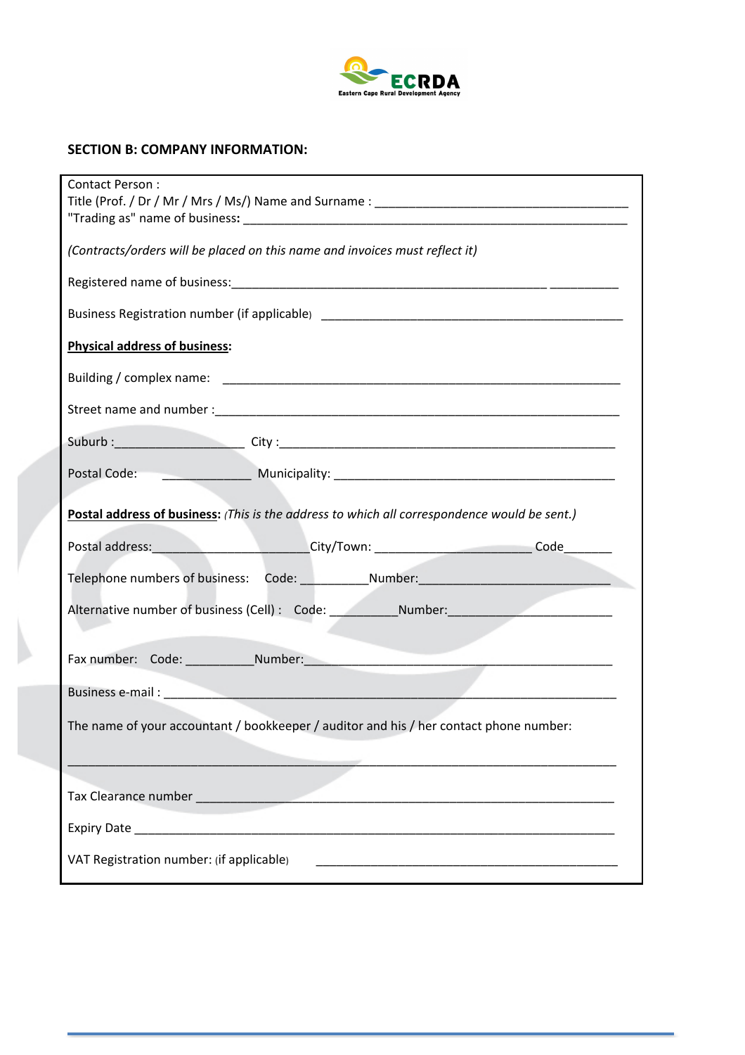

# **SECTION B: COMPANY INFORMATION:**

| Contact Person:                                                                               |  |  |
|-----------------------------------------------------------------------------------------------|--|--|
| (Contracts/orders will be placed on this name and invoices must reflect it)                   |  |  |
|                                                                                               |  |  |
| Business Registration number (if applicable) ___________________________________              |  |  |
| <b>Physical address of business:</b>                                                          |  |  |
|                                                                                               |  |  |
|                                                                                               |  |  |
|                                                                                               |  |  |
|                                                                                               |  |  |
| Postal address of business: (This is the address to which all correspondence would be sent.)  |  |  |
| Postal address:___________________________City/Town: ___________________________Code_________ |  |  |
| Telephone numbers of business: Code: ____________Number: _______________________              |  |  |
| Alternative number of business (Cell) : Code: __________________________________              |  |  |
|                                                                                               |  |  |
|                                                                                               |  |  |
|                                                                                               |  |  |
| The name of your accountant / bookkeeper / auditor and his / her contact phone number:        |  |  |
|                                                                                               |  |  |
|                                                                                               |  |  |
|                                                                                               |  |  |
| VAT Registration number: (if applicable)                                                      |  |  |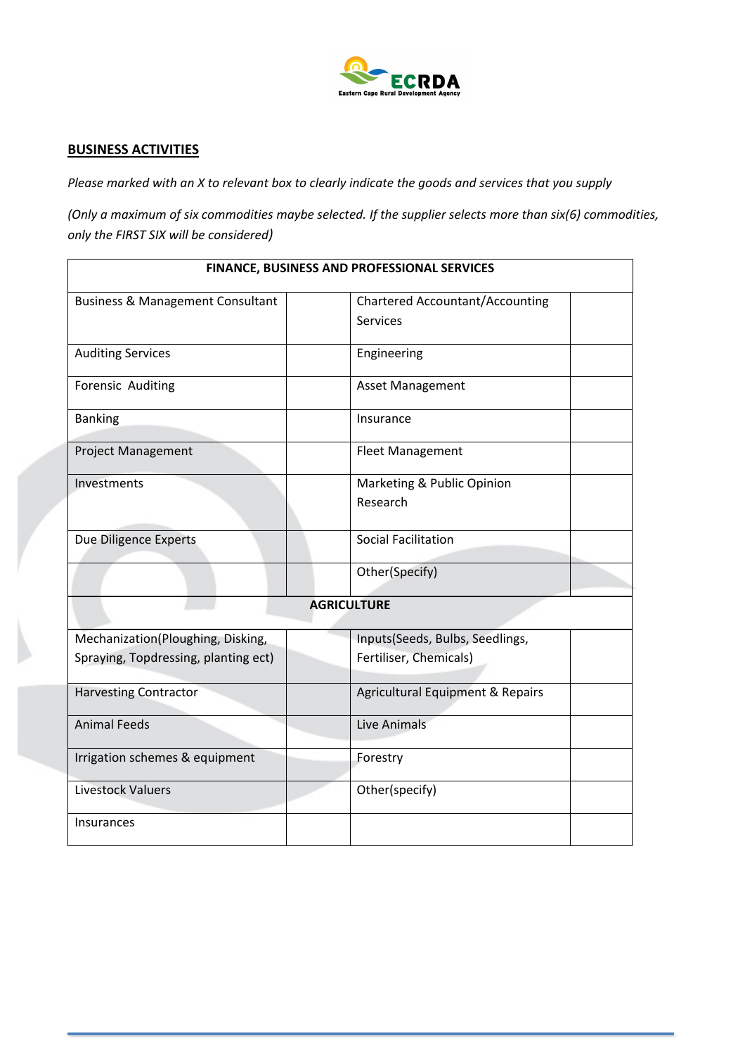

## **BUSINESS ACTIVITIES**

Please marked with an X to relevant box to clearly indicate the goods and services that you supply

*(Only a maximum of six commodities maybe selected. If the supplier selects more than six(6) commodities,* only the FIRST SIX will be considered)

| FINANCE, BUSINESS AND PROFESSIONAL SERVICES |                                             |  |
|---------------------------------------------|---------------------------------------------|--|
| <b>Business &amp; Management Consultant</b> | <b>Chartered Accountant/Accounting</b>      |  |
|                                             | <b>Services</b>                             |  |
| <b>Auditing Services</b>                    | Engineering                                 |  |
| Forensic Auditing                           | Asset Management                            |  |
| <b>Banking</b>                              | Insurance                                   |  |
| <b>Project Management</b>                   | <b>Fleet Management</b>                     |  |
| Investments                                 | Marketing & Public Opinion                  |  |
|                                             | Research                                    |  |
| Due Diligence Experts                       | <b>Social Facilitation</b>                  |  |
|                                             | Other(Specify)                              |  |
|                                             | <b>AGRICULTURE</b>                          |  |
| Mechanization(Ploughing, Disking,           | Inputs(Seeds, Bulbs, Seedlings,             |  |
| Spraying, Topdressing, planting ect)        | Fertiliser, Chemicals)                      |  |
| <b>Harvesting Contractor</b>                | <b>Agricultural Equipment &amp; Repairs</b> |  |
| <b>Animal Feeds</b>                         | Live Animals                                |  |
| Irrigation schemes & equipment              | Forestry                                    |  |
| <b>Livestock Valuers</b>                    | Other(specify)                              |  |
| <b>Insurances</b>                           |                                             |  |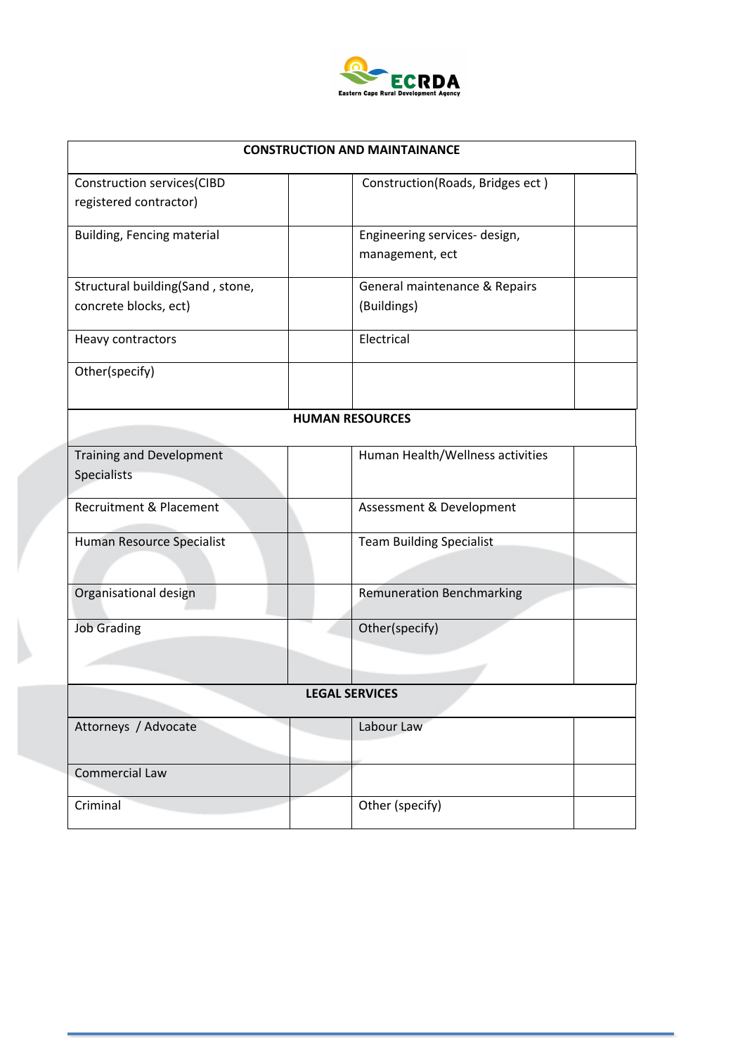

| <b>CONSTRUCTION AND MAINTAINANCE</b>                        |                                                  |  |
|-------------------------------------------------------------|--------------------------------------------------|--|
| <b>Construction services(CIBD</b><br>registered contractor) | Construction(Roads, Bridges ect)                 |  |
| <b>Building, Fencing material</b>                           | Engineering services- design,<br>management, ect |  |
| Structural building(Sand, stone,<br>concrete blocks, ect)   | General maintenance & Repairs<br>(Buildings)     |  |
| Heavy contractors                                           | Electrical                                       |  |
| Other(specify)                                              |                                                  |  |
|                                                             | <b>HUMAN RESOURCES</b>                           |  |
| <b>Training and Development</b><br>Specialists              | Human Health/Wellness activities                 |  |
| Recruitment & Placement                                     | Assessment & Development                         |  |
| Human Resource Specialist                                   | <b>Team Building Specialist</b>                  |  |
| Organisational design                                       | <b>Remuneration Benchmarking</b>                 |  |
| <b>Job Grading</b>                                          | Other(specify)                                   |  |
|                                                             | <b>LEGAL SERVICES</b>                            |  |
| Attorneys / Advocate                                        | Labour Law                                       |  |
| <b>Commercial Law</b>                                       |                                                  |  |
| Criminal                                                    | Other (specify)                                  |  |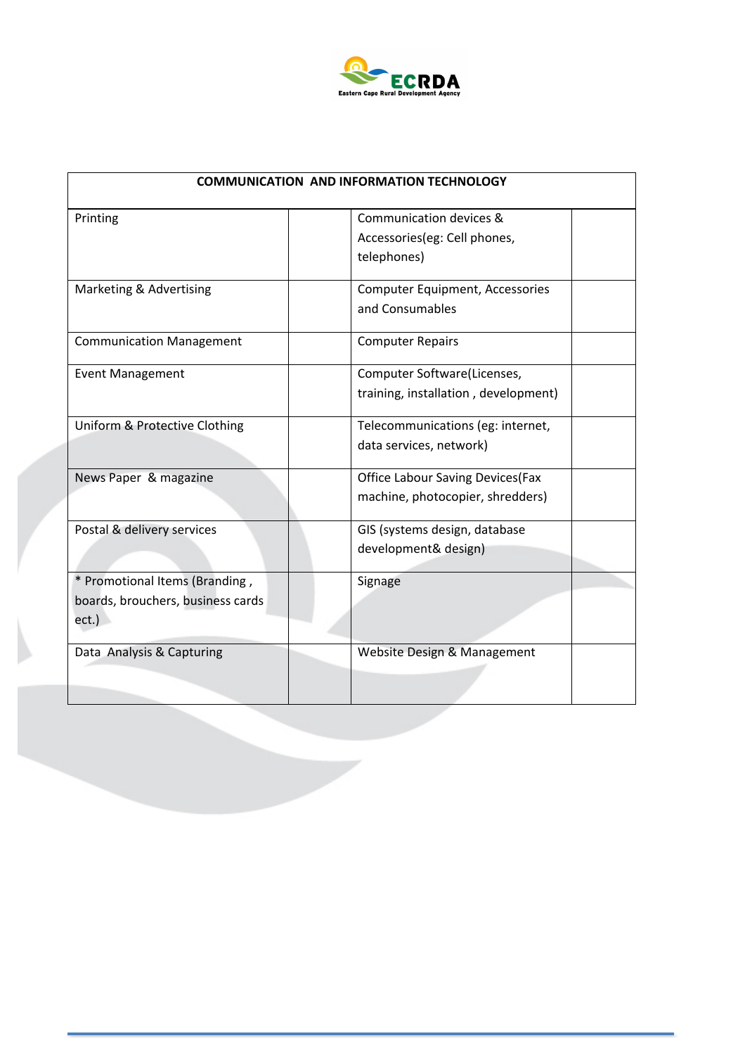

| <b>COMMUNICATION AND INFORMATION TECHNOLOGY</b>                              |                                                                              |  |
|------------------------------------------------------------------------------|------------------------------------------------------------------------------|--|
| Printing                                                                     | Communication devices &<br>Accessories(eg: Cell phones,<br>telephones)       |  |
| Marketing & Advertising                                                      | <b>Computer Equipment, Accessories</b><br>and Consumables                    |  |
| <b>Communication Management</b>                                              | <b>Computer Repairs</b>                                                      |  |
| <b>Event Management</b>                                                      | Computer Software(Licenses,<br>training, installation, development)          |  |
| Uniform & Protective Clothing                                                | Telecommunications (eg: internet,<br>data services, network)                 |  |
| News Paper & magazine                                                        | <b>Office Labour Saving Devices (Fax</b><br>machine, photocopier, shredders) |  |
| Postal & delivery services                                                   | GIS (systems design, database<br>development& design)                        |  |
| * Promotional Items (Branding,<br>boards, brouchers, business cards<br>ect.) | Signage                                                                      |  |
| Data Analysis & Capturing                                                    | Website Design & Management                                                  |  |

 $\sim$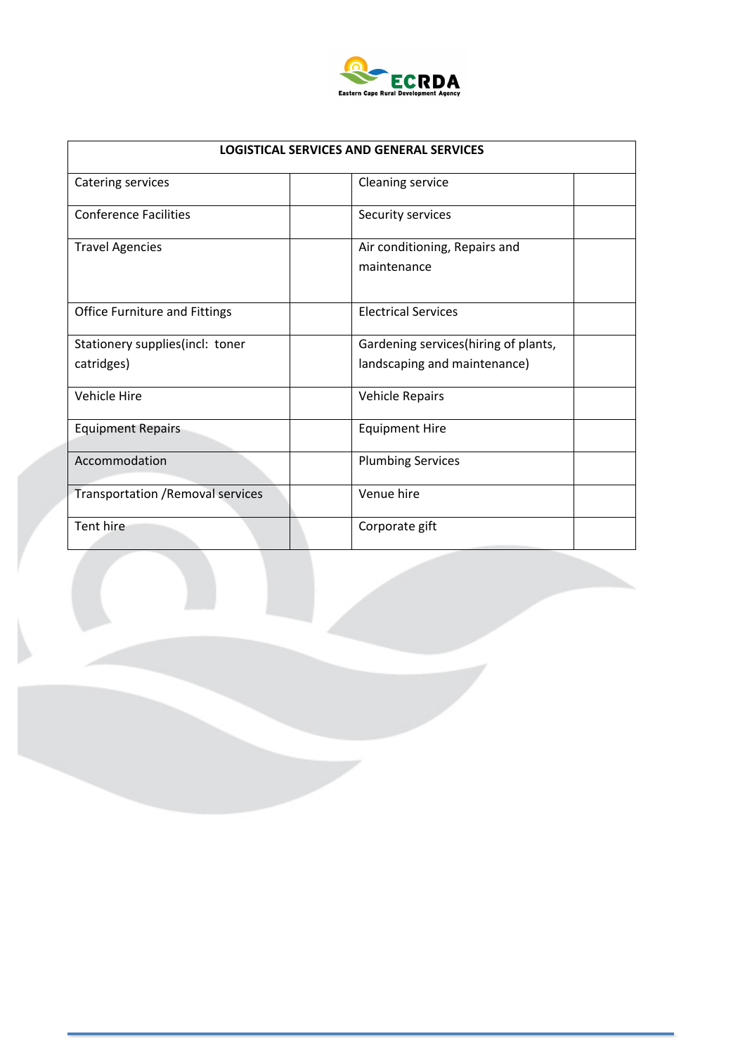

| <b>LOGISTICAL SERVICES AND GENERAL SERVICES</b> |                                                                      |  |
|-------------------------------------------------|----------------------------------------------------------------------|--|
| <b>Catering services</b>                        | <b>Cleaning service</b>                                              |  |
| <b>Conference Facilities</b>                    | Security services                                                    |  |
| <b>Travel Agencies</b>                          | Air conditioning, Repairs and<br>maintenance                         |  |
| <b>Office Furniture and Fittings</b>            | <b>Electrical Services</b>                                           |  |
| Stationery supplies(incl: toner<br>catridges)   | Gardening services(hiring of plants,<br>landscaping and maintenance) |  |
| Vehicle Hire                                    | <b>Vehicle Repairs</b>                                               |  |
| <b>Equipment Repairs</b>                        | <b>Equipment Hire</b>                                                |  |
| Accommodation                                   | <b>Plumbing Services</b>                                             |  |
| <b>Transportation / Removal services</b>        | Venue hire                                                           |  |
| Tent hire                                       | Corporate gift                                                       |  |

w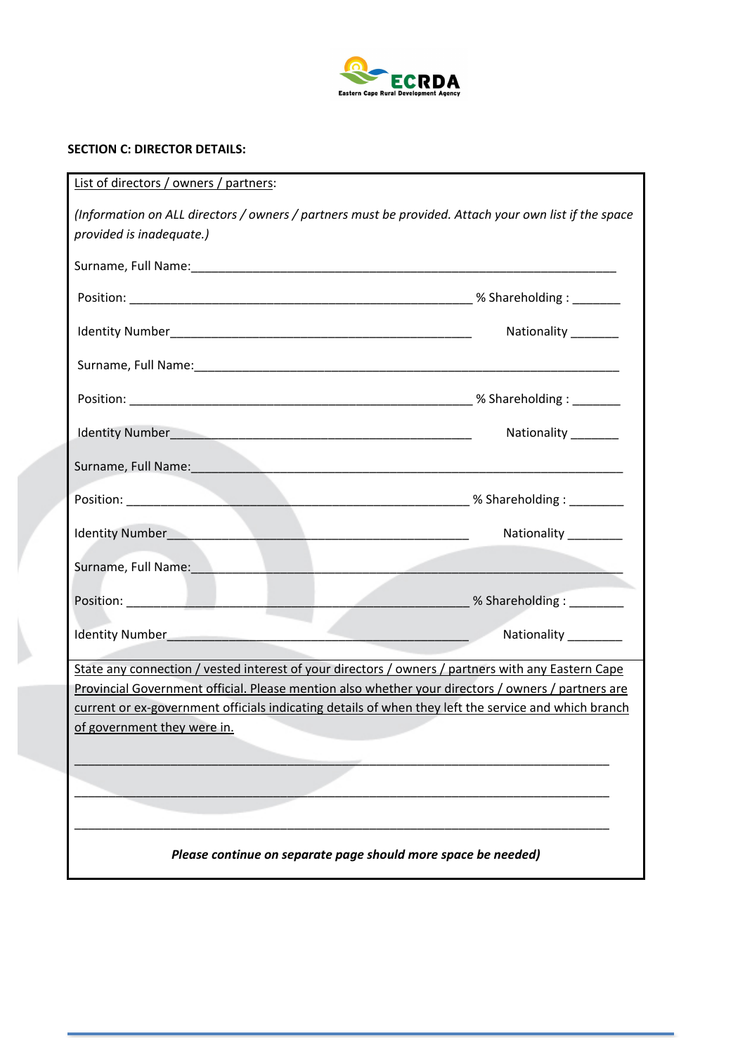

# **SECTION C: DIRECTOR DETAILS:**

| List of directors / owners / partners:                                                                                            |                                                                |
|-----------------------------------------------------------------------------------------------------------------------------------|----------------------------------------------------------------|
| (Information on ALL directors / owners / partners must be provided. Attach your own list if the space<br>provided is inadequate.) |                                                                |
|                                                                                                                                   |                                                                |
|                                                                                                                                   |                                                                |
|                                                                                                                                   | Nationality _______                                            |
|                                                                                                                                   |                                                                |
|                                                                                                                                   |                                                                |
|                                                                                                                                   | Nationality _______                                            |
| Surname, Full Name: 1990 and 200 million and 200 million and 200 million and 200 million and 200 million and 20                   |                                                                |
|                                                                                                                                   |                                                                |
|                                                                                                                                   | Nationality ________                                           |
| Surname, Full Name:<br>the contract of the contract of the contract of the contract of the contract of the contract of            |                                                                |
|                                                                                                                                   | __________________________________ % Shareholding : __________ |
|                                                                                                                                   | Nationality _________                                          |
| State any connection / vested interest of your directors / owners / partners with any Eastern Cape                                |                                                                |
| Provincial Government official. Please mention also whether your directors / owners / partners are                                |                                                                |
| current or ex-government officials indicating details of when they left the service and which branch                              |                                                                |
| of government they were in.                                                                                                       |                                                                |
|                                                                                                                                   |                                                                |
|                                                                                                                                   |                                                                |
|                                                                                                                                   |                                                                |
| Please continue on separate page should more space be needed)                                                                     |                                                                |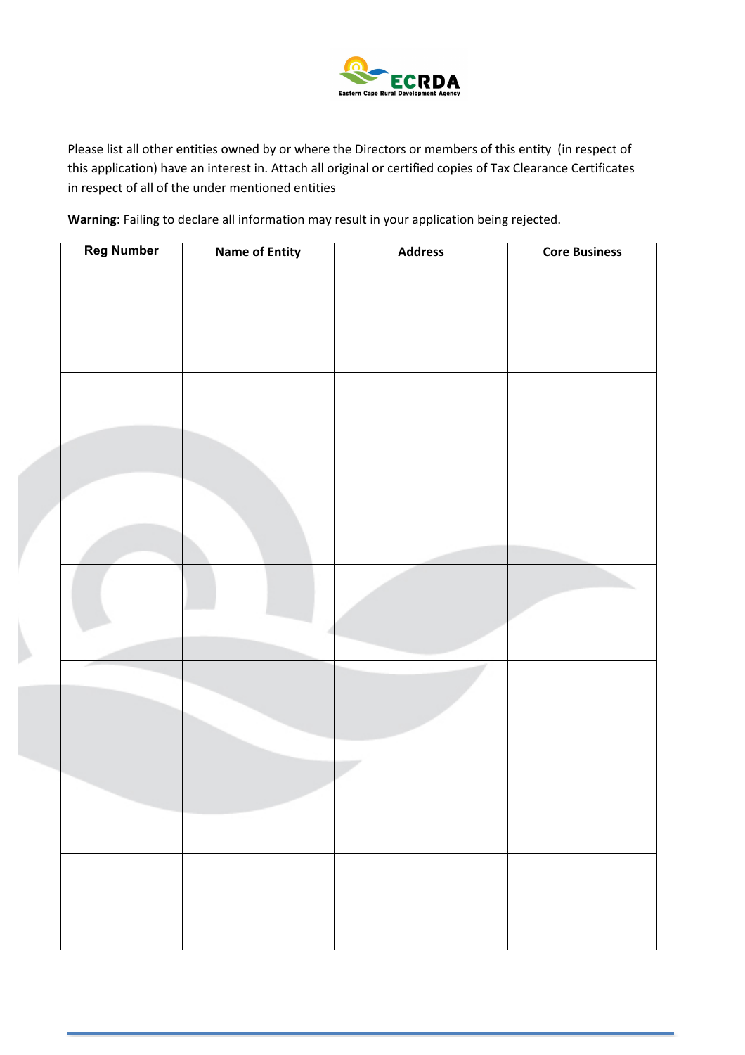

Please list all other entities owned by or where the Directors or members of this entity (in respect of this application) have an interest in. Attach all original or certified copies of Tax Clearance Certificates in respect of all of the under mentioned entities

Warning: Failing to declare all information may result in your application being rejected.

| <b>Reg Number</b> | <b>Name of Entity</b> | <b>Address</b> | <b>Core Business</b> |
|-------------------|-----------------------|----------------|----------------------|
|                   |                       |                |                      |
|                   |                       |                |                      |
|                   |                       |                |                      |
|                   |                       |                |                      |
|                   |                       |                |                      |
|                   |                       |                |                      |
|                   |                       |                |                      |
|                   |                       |                |                      |
|                   |                       |                |                      |
|                   |                       |                |                      |
|                   |                       |                |                      |
|                   |                       |                |                      |
|                   |                       |                |                      |
|                   |                       |                |                      |
|                   |                       |                |                      |
|                   |                       |                |                      |
|                   |                       |                |                      |
|                   |                       |                |                      |
|                   |                       |                |                      |
|                   |                       |                |                      |
|                   |                       |                |                      |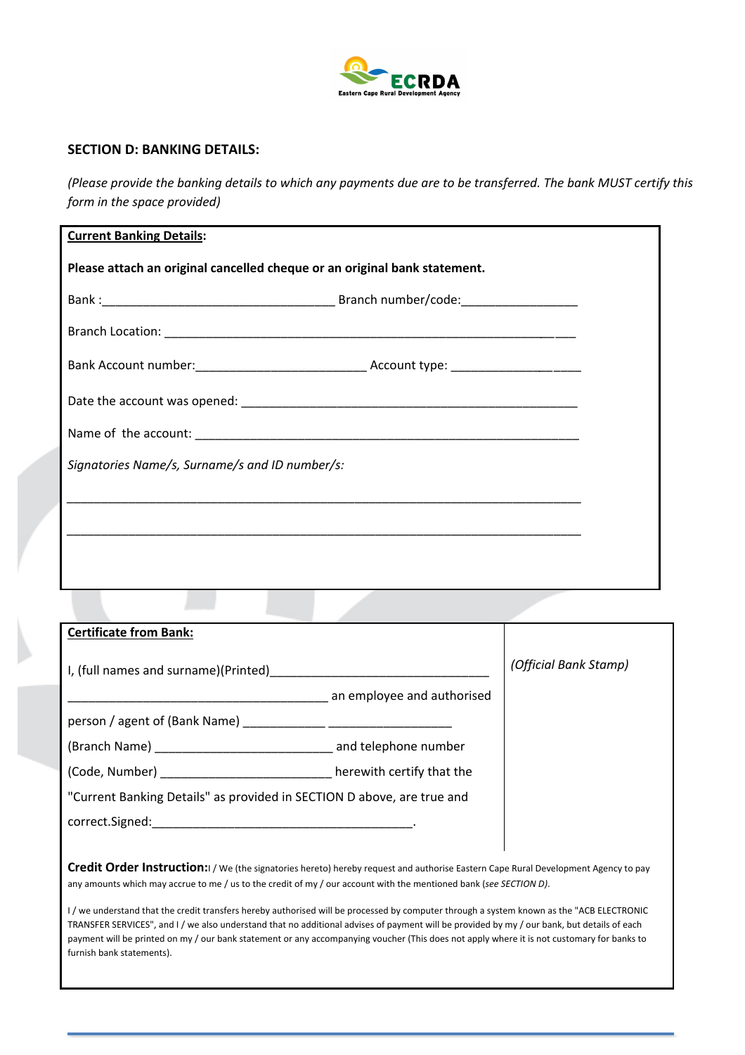

## **SECTION D: BANKING DETAILS:**

*(Please provide the banking details to which any payments due are to be transferred. The bank MUST certify this form in the space provided)* 

| <b>Current Banking Details:</b>                                           |  |
|---------------------------------------------------------------------------|--|
| Please attach an original cancelled cheque or an original bank statement. |  |
|                                                                           |  |
|                                                                           |  |
|                                                                           |  |
|                                                                           |  |
|                                                                           |  |
| Signatories Name/s, Surname/s and ID number/s:                            |  |
|                                                                           |  |
|                                                                           |  |
|                                                                           |  |
|                                                                           |  |

| <b>Certificate from Bank:</b>                                          |                            |                       |
|------------------------------------------------------------------------|----------------------------|-----------------------|
| I, (full names and surname)(Printed)                                   |                            | (Official Bank Stamp) |
|                                                                        | an employee and authorised |                       |
| person / agent of (Bank Name)                                          |                            |                       |
| (Branch Name) and telephone number                                     |                            |                       |
| (Code, Number) example a large to the here with certify that the       |                            |                       |
| "Current Banking Details" as provided in SECTION D above, are true and |                            |                       |
| correct.Signed: William Correct Signed:                                |                            |                       |
|                                                                        |                            |                       |

Credit Order Instruction:I / We (the signatories hereto) hereby request and authorise Eastern Cape Rural Development Agency to pay any amounts which may accrue to me / us to the credit of my / our account with the mentioned bank (see SECTION D).

I/ we understand that the credit transfers hereby authorised will be processed by computer through a system known as the "ACB ELECTRONIC TRANSFER SERVICES", and I / we also understand that no additional advises of payment will be provided by my / our bank, but details of each payment will be printed on my / our bank statement or any accompanying voucher (This does not apply where it is not customary for banks to furnish bank statements).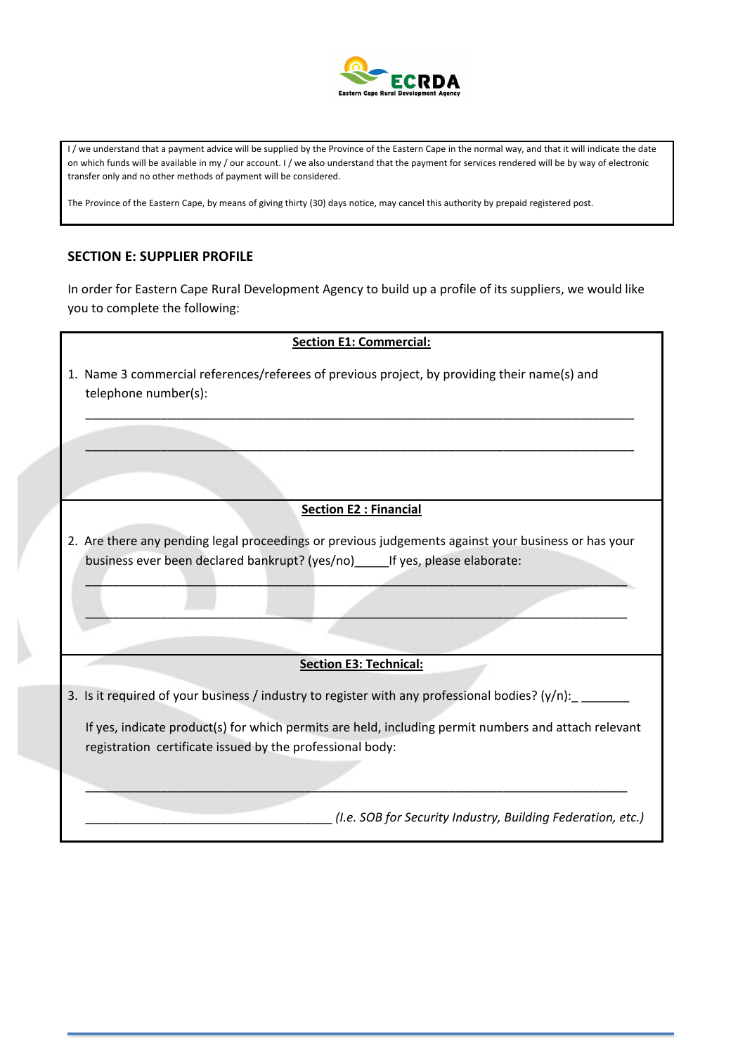

I/ we understand that a payment advice will be supplied by the Province of the Eastern Cape in the normal way, and that it will indicate the date on which funds will be available in my / our account. I / we also understand that the payment for services rendered will be by way of electronic transfer only and no other methods of payment will be considered.

The Province of the Eastern Cape, by means of giving thirty (30) days notice, may cancel this authority by prepaid registered post.

### **SECTION E: SUPPLIER PROFILE**

In order for Eastern Cape Rural Development Agency to build up a profile of its suppliers, we would like you to complete the following:

### **Section E1: Commercial:**

\_\_\_\_\_\_\_\_\_\_\_\_\_\_\_\_\_\_\_\_\_\_\_\_\_\_\_\_\_\_\_\_\_\_\_\_\_\_\_\_\_\_\_\_\_\_\_\_\_\_\_\_\_\_\_\_\_\_\_\_\_\_\_\_\_\_\_\_\_\_\_\_\_\_\_\_\_\_\_\_

 $\_$  . The contribution of the contribution of the contribution of the contribution of the contribution of the contribution of the contribution of the contribution of the contribution of the contribution of the contributio

1. Name 3 commercial references/referees of previous project, by providing their name(s) and telephone number(s):

### **Section E2 : Financial**

2. Are there any pending legal proceedings or previous judgements against your business or has your business ever been declared bankrupt? (yes/no) lf yes, please elaborate:

 $\mathcal{L}_\mathcal{A}$  , and the contribution of the contribution of the contribution of the contribution of the contribution of the contribution of the contribution of the contribution of the contribution of the contribution of

 $\mathcal{L}_\mathcal{L}$  , and the contribution of the contribution of the contribution of the contribution of the contribution of the contribution of the contribution of the contribution of the contribution of the contribution of

#### **Section E3: Technical:**

3. Is it required of your business / industry to register with any professional bodies? (y/n):

If yes, indicate product(s) for which permits are held, including permit numbers and attach relevant registration certificate issued by the professional body:

\_\_\_\_\_\_\_\_\_\_\_\_\_\_\_\_\_\_\_\_\_\_\_\_\_\_\_\_\_\_\_\_\_\_\_\_\_\_\_\_\_\_\_\_\_\_\_\_\_\_\_\_\_\_\_\_\_\_\_\_\_\_\_\_\_\_\_\_\_\_\_\_\_\_\_\_\_\_\_

\_\_\_\_\_\_\_\_\_\_\_\_\_\_\_\_\_\_\_\_\_\_\_\_\_\_\_\_\_\_\_\_\_\_\_\_!*(I.e.!SOB!for!Security!Industry,!Building!Federation,!etc.)*